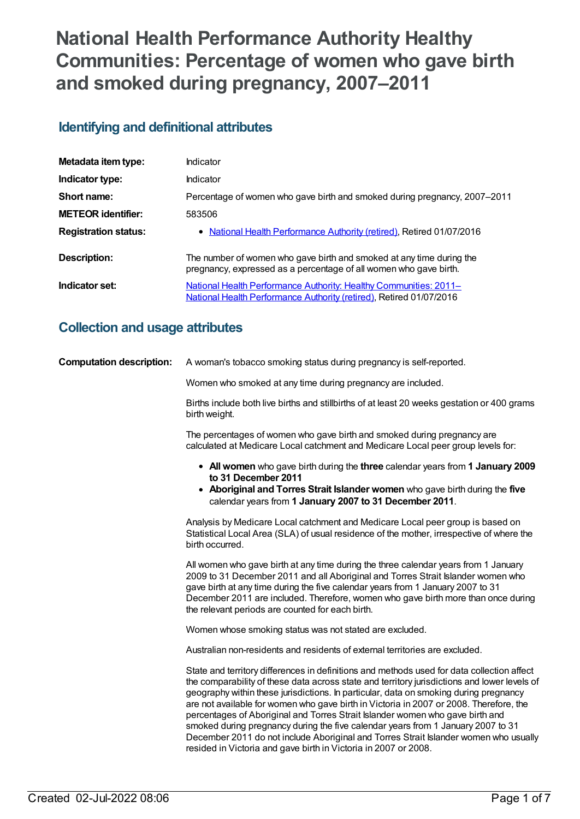# **National Health Performance Authority Healthy Communities: Percentage of women who gave birth and smoked during pregnancy, 2007–2011**

# **Identifying and definitional attributes**

| Metadata item type:         | Indicator                                                                                                                                 |
|-----------------------------|-------------------------------------------------------------------------------------------------------------------------------------------|
| Indicator type:             | Indicator                                                                                                                                 |
| Short name:                 | Percentage of women who gave birth and smoked during pregnancy, 2007–2011                                                                 |
| <b>METEOR identifier:</b>   | 583506                                                                                                                                    |
| <b>Registration status:</b> | • National Health Performance Authority (retired), Retired 01/07/2016                                                                     |
| Description:                | The number of women who gave birth and smoked at any time during the<br>pregnancy, expressed as a percentage of all women who gave birth. |
| Indicator set:              | National Health Performance Authority: Healthy Communities: 2011-<br>National Health Performance Authority (retired), Retired 01/07/2016  |

# **Collection and usage attributes**

| <b>Computation description:</b> | A woman's tobacco smoking status during pregnancy is self-reported.                                                                                                                                                                                                                                                                                                                                                                                                                                                                                                                                                                                                                                           |
|---------------------------------|---------------------------------------------------------------------------------------------------------------------------------------------------------------------------------------------------------------------------------------------------------------------------------------------------------------------------------------------------------------------------------------------------------------------------------------------------------------------------------------------------------------------------------------------------------------------------------------------------------------------------------------------------------------------------------------------------------------|
|                                 | Women who smoked at any time during pregnancy are included.                                                                                                                                                                                                                                                                                                                                                                                                                                                                                                                                                                                                                                                   |
|                                 | Births include both live births and stillbirths of at least 20 weeks gestation or 400 grams<br>birth weight.                                                                                                                                                                                                                                                                                                                                                                                                                                                                                                                                                                                                  |
|                                 | The percentages of women who gave birth and smoked during pregnancy are<br>calculated at Medicare Local catchment and Medicare Local peer group levels for:                                                                                                                                                                                                                                                                                                                                                                                                                                                                                                                                                   |
|                                 | • All women who gave birth during the three calendar years from 1 January 2009<br>to 31 December 2011<br>• Aboriginal and Torres Strait Islander women who gave birth during the five<br>calendar years from 1 January 2007 to 31 December 2011.                                                                                                                                                                                                                                                                                                                                                                                                                                                              |
|                                 | Analysis by Medicare Local catchment and Medicare Local peer group is based on<br>Statistical Local Area (SLA) of usual residence of the mother, irrespective of where the<br>birth occurred.                                                                                                                                                                                                                                                                                                                                                                                                                                                                                                                 |
|                                 | All women who gave birth at any time during the three calendar years from 1 January<br>2009 to 31 December 2011 and all Aboriginal and Torres Strait Islander women who<br>gave birth at any time during the five calendar years from 1 January 2007 to 31<br>December 2011 are included. Therefore, women who gave birth more than once during<br>the relevant periods are counted for each birth.                                                                                                                                                                                                                                                                                                           |
|                                 | Women whose smoking status was not stated are excluded.                                                                                                                                                                                                                                                                                                                                                                                                                                                                                                                                                                                                                                                       |
|                                 | Australian non-residents and residents of external territories are excluded.                                                                                                                                                                                                                                                                                                                                                                                                                                                                                                                                                                                                                                  |
|                                 | State and territory differences in definitions and methods used for data collection affect<br>the comparability of these data across state and territory jurisdictions and lower levels of<br>geography within these jurisdictions. In particular, data on smoking during pregnancy<br>are not available for women who gave birth in Victoria in 2007 or 2008. Therefore, the<br>percentages of Aboriginal and Torres Strait Islander women who gave birth and<br>smoked during pregnancy during the five calendar years from 1 January 2007 to 31<br>December 2011 do not include Aboriginal and Torres Strait Islander women who usually<br>resided in Victoria and gave birth in Victoria in 2007 or 2008. |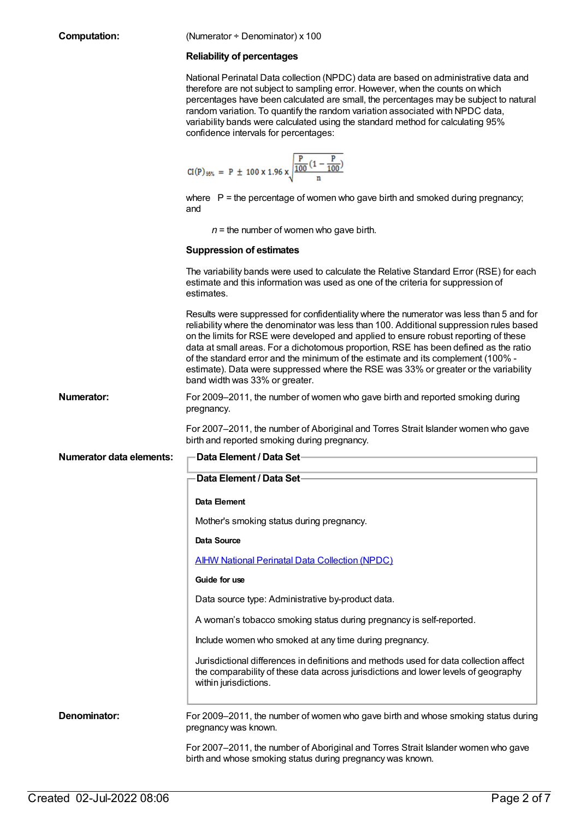#### **Reliability of percentages**

National Perinatal Data collection (NPDC) data are based on administrative data and therefore are not subject to sampling error. However, when the counts on which percentages have been calculated are small, the percentages may be subject to natural random variation. To quantify the random variation associated with NPDC data, variability bands were calculated using the standard method for calculating 95% confidence intervals for percentages:

$$
CI(P)_{95\%} = P \pm 100 \times 1.96 \times \sqrt{\frac{P}{\frac{100}{n} (1 - \frac{P}{100})}}
$$

where  $P =$  the percentage of women who gave birth and smoked during pregnancy; and

 $n =$  the number of women who gave birth.

#### **Suppression of estimates**

|                                 | The variability bands were used to calculate the Relative Standard Error (RSE) for each<br>estimate and this information was used as one of the criteria for suppression of<br>estimates.                                                                                                                                                                                                                                                                                                                                                                                       |
|---------------------------------|---------------------------------------------------------------------------------------------------------------------------------------------------------------------------------------------------------------------------------------------------------------------------------------------------------------------------------------------------------------------------------------------------------------------------------------------------------------------------------------------------------------------------------------------------------------------------------|
|                                 | Results were suppressed for confidentiality where the numerator was less than 5 and for<br>reliability where the denominator was less than 100. Additional suppression rules based<br>on the limits for RSE were developed and applied to ensure robust reporting of these<br>data at small areas. For a dichotomous proportion, RSE has been defined as the ratio<br>of the standard error and the minimum of the estimate and its complement (100% -<br>estimate). Data were suppressed where the RSE was 33% or greater or the variability<br>band width was 33% or greater. |
| <b>Numerator:</b>               | For 2009-2011, the number of women who gave birth and reported smoking during<br>pregnancy.                                                                                                                                                                                                                                                                                                                                                                                                                                                                                     |
|                                 | For 2007-2011, the number of Aboriginal and Torres Strait Islander women who gave<br>birth and reported smoking during pregnancy.                                                                                                                                                                                                                                                                                                                                                                                                                                               |
| <b>Numerator data elements:</b> | <b>Data Element / Data Set-</b>                                                                                                                                                                                                                                                                                                                                                                                                                                                                                                                                                 |
|                                 | Data Element / Data Set-                                                                                                                                                                                                                                                                                                                                                                                                                                                                                                                                                        |
|                                 | Data Element                                                                                                                                                                                                                                                                                                                                                                                                                                                                                                                                                                    |
|                                 | Mother's smoking status during pregnancy.                                                                                                                                                                                                                                                                                                                                                                                                                                                                                                                                       |
|                                 | <b>Data Source</b>                                                                                                                                                                                                                                                                                                                                                                                                                                                                                                                                                              |
|                                 | <b>AIHW National Perinatal Data Collection (NPDC)</b>                                                                                                                                                                                                                                                                                                                                                                                                                                                                                                                           |
|                                 | Guide for use                                                                                                                                                                                                                                                                                                                                                                                                                                                                                                                                                                   |
|                                 | Data source type: Administrative by-product data.                                                                                                                                                                                                                                                                                                                                                                                                                                                                                                                               |
|                                 | A woman's tobacco smoking status during pregnancy is self-reported.                                                                                                                                                                                                                                                                                                                                                                                                                                                                                                             |
|                                 | Include women who smoked at any time during pregnancy.                                                                                                                                                                                                                                                                                                                                                                                                                                                                                                                          |
|                                 | Jurisdictional differences in definitions and methods used for data collection affect<br>the comparability of these data across jurisdictions and lower levels of geography<br>within jurisdictions.                                                                                                                                                                                                                                                                                                                                                                            |
| Denominator:                    | For 2009-2011, the number of women who gave birth and whose smoking status during<br>pregnancy was known.                                                                                                                                                                                                                                                                                                                                                                                                                                                                       |
|                                 | For 2007-2011, the number of Aboriginal and Torres Strait Islander women who gave<br>birth and whose smoking status during pregnancy was known.                                                                                                                                                                                                                                                                                                                                                                                                                                 |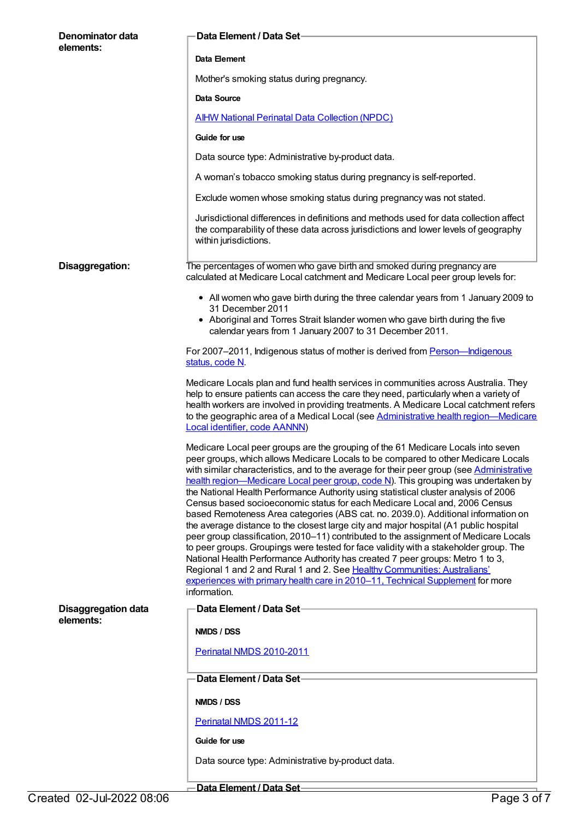| Denominator data<br>elements:           | Data Element / Data Set-                                                                                                                                                                                                                                                                                                                                                                                                                                                                                                                                                                                                                                                                                                                                                                                                                                                                                                                                                                                                                                                                                                                                      |
|-----------------------------------------|---------------------------------------------------------------------------------------------------------------------------------------------------------------------------------------------------------------------------------------------------------------------------------------------------------------------------------------------------------------------------------------------------------------------------------------------------------------------------------------------------------------------------------------------------------------------------------------------------------------------------------------------------------------------------------------------------------------------------------------------------------------------------------------------------------------------------------------------------------------------------------------------------------------------------------------------------------------------------------------------------------------------------------------------------------------------------------------------------------------------------------------------------------------|
|                                         | Data Element                                                                                                                                                                                                                                                                                                                                                                                                                                                                                                                                                                                                                                                                                                                                                                                                                                                                                                                                                                                                                                                                                                                                                  |
|                                         | Mother's smoking status during pregnancy.                                                                                                                                                                                                                                                                                                                                                                                                                                                                                                                                                                                                                                                                                                                                                                                                                                                                                                                                                                                                                                                                                                                     |
|                                         | Data Source                                                                                                                                                                                                                                                                                                                                                                                                                                                                                                                                                                                                                                                                                                                                                                                                                                                                                                                                                                                                                                                                                                                                                   |
|                                         | <b>AIHW National Perinatal Data Collection (NPDC)</b>                                                                                                                                                                                                                                                                                                                                                                                                                                                                                                                                                                                                                                                                                                                                                                                                                                                                                                                                                                                                                                                                                                         |
|                                         | Guide for use                                                                                                                                                                                                                                                                                                                                                                                                                                                                                                                                                                                                                                                                                                                                                                                                                                                                                                                                                                                                                                                                                                                                                 |
|                                         | Data source type: Administrative by-product data.                                                                                                                                                                                                                                                                                                                                                                                                                                                                                                                                                                                                                                                                                                                                                                                                                                                                                                                                                                                                                                                                                                             |
|                                         | A woman's tobacco smoking status during pregnancy is self-reported.                                                                                                                                                                                                                                                                                                                                                                                                                                                                                                                                                                                                                                                                                                                                                                                                                                                                                                                                                                                                                                                                                           |
|                                         | Exclude women whose smoking status during pregnancy was not stated.                                                                                                                                                                                                                                                                                                                                                                                                                                                                                                                                                                                                                                                                                                                                                                                                                                                                                                                                                                                                                                                                                           |
|                                         | Jurisdictional differences in definitions and methods used for data collection affect<br>the comparability of these data across jurisdictions and lower levels of geography<br>within jurisdictions.                                                                                                                                                                                                                                                                                                                                                                                                                                                                                                                                                                                                                                                                                                                                                                                                                                                                                                                                                          |
| Disaggregation:                         | The percentages of women who gave birth and smoked during pregnancy are<br>calculated at Medicare Local catchment and Medicare Local peer group levels for:                                                                                                                                                                                                                                                                                                                                                                                                                                                                                                                                                                                                                                                                                                                                                                                                                                                                                                                                                                                                   |
|                                         | • All women who gave birth during the three calendar years from 1 January 2009 to<br>31 December 2011                                                                                                                                                                                                                                                                                                                                                                                                                                                                                                                                                                                                                                                                                                                                                                                                                                                                                                                                                                                                                                                         |
|                                         | • Aboriginal and Torres Strait Islander women who gave birth during the five<br>calendar years from 1 January 2007 to 31 December 2011.                                                                                                                                                                                                                                                                                                                                                                                                                                                                                                                                                                                                                                                                                                                                                                                                                                                                                                                                                                                                                       |
|                                         | For 2007-2011, Indigenous status of mother is derived from <b>Person-Indigenous</b><br>status, code N.                                                                                                                                                                                                                                                                                                                                                                                                                                                                                                                                                                                                                                                                                                                                                                                                                                                                                                                                                                                                                                                        |
|                                         | Medicare Locals plan and fund health services in communities across Australia. They<br>help to ensure patients can access the care they need, particularly when a variety of<br>health workers are involved in providing treatments. A Medicare Local catchment refers<br>to the geographic area of a Medical Local (see Administrative health region-Medicare<br>Local identifier, code AANNN)                                                                                                                                                                                                                                                                                                                                                                                                                                                                                                                                                                                                                                                                                                                                                               |
|                                         | Medicare Local peer groups are the grouping of the 61 Medicare Locals into seven<br>peer groups, which allows Medicare Locals to be compared to other Medicare Locals<br>with similar characteristics, and to the average for their peer group (see Administrative<br>health region-Medicare Local peer group, code N). This grouping was undertaken by<br>the National Health Performance Authority using statistical cluster analysis of 2006<br>Census based socioeconomic status for each Medicare Local and, 2006 Census<br>based Remoteness Area categories (ABS cat. no. 2039.0). Additional information on<br>the average distance to the closest large city and major hospital (A1 public hospital<br>peer group classification, 2010-11) contributed to the assignment of Medicare Locals<br>to peer groups. Groupings were tested for face validity with a stakeholder group. The<br>National Health Performance Authority has created 7 peer groups: Metro 1 to 3,<br>Regional 1 and 2 and Rural 1 and 2. See Healthy Communities: Australians'<br>experiences with primary health care in 2010-11, Technical Supplement for more<br>information. |
| <b>Disaggregation data</b><br>elements: | Data Element / Data Set                                                                                                                                                                                                                                                                                                                                                                                                                                                                                                                                                                                                                                                                                                                                                                                                                                                                                                                                                                                                                                                                                                                                       |
|                                         | NMDS / DSS                                                                                                                                                                                                                                                                                                                                                                                                                                                                                                                                                                                                                                                                                                                                                                                                                                                                                                                                                                                                                                                                                                                                                    |
|                                         | Perinatal NMDS 2010-2011                                                                                                                                                                                                                                                                                                                                                                                                                                                                                                                                                                                                                                                                                                                                                                                                                                                                                                                                                                                                                                                                                                                                      |
|                                         | Data Element / Data Set-                                                                                                                                                                                                                                                                                                                                                                                                                                                                                                                                                                                                                                                                                                                                                                                                                                                                                                                                                                                                                                                                                                                                      |
|                                         | NMDS / DSS                                                                                                                                                                                                                                                                                                                                                                                                                                                                                                                                                                                                                                                                                                                                                                                                                                                                                                                                                                                                                                                                                                                                                    |
|                                         | Perinatal NMDS 2011-12                                                                                                                                                                                                                                                                                                                                                                                                                                                                                                                                                                                                                                                                                                                                                                                                                                                                                                                                                                                                                                                                                                                                        |
|                                         | Guide for use                                                                                                                                                                                                                                                                                                                                                                                                                                                                                                                                                                                                                                                                                                                                                                                                                                                                                                                                                                                                                                                                                                                                                 |
|                                         | Data source type: Administrative by-product data.                                                                                                                                                                                                                                                                                                                                                                                                                                                                                                                                                                                                                                                                                                                                                                                                                                                                                                                                                                                                                                                                                                             |
|                                         | Data Element / Data Cat                                                                                                                                                                                                                                                                                                                                                                                                                                                                                                                                                                                                                                                                                                                                                                                                                                                                                                                                                                                                                                                                                                                                       |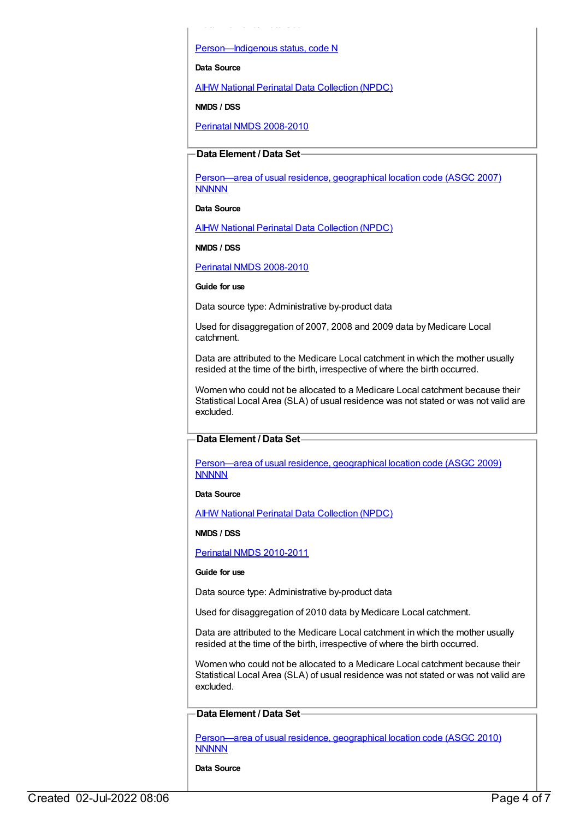[Person—Indigenous](https://meteor.aihw.gov.au/content/291036) status, code N

**Data Element / Data Set**

**Data Source**

AIHW National Perinatal Data [Collection](https://meteor.aihw.gov.au/content/392479) (NPDC)

**NMDS / DSS**

Perinatal NMDS [2008-2010](https://meteor.aihw.gov.au/content/362313)

#### **Data Element / Data Set**

[Person—area](https://meteor.aihw.gov.au/content/362291) of usual residence, geographical location code (ASGC 2007) **NNNNN** 

**Data Source**

AIHW National Perinatal Data [Collection](https://meteor.aihw.gov.au/content/392479) (NPDC)

**NMDS / DSS**

Perinatal NMDS [2008-2010](https://meteor.aihw.gov.au/content/362313)

**Guide for use**

Data source type: Administrative by-product data

Used for disaggregation of 2007, 2008 and 2009 data by Medicare Local catchment.

Data are attributed to the Medicare Local catchment in which the mother usually resided at the time of the birth, irrespective of where the birth occurred.

Women who could not be allocated to a Medicare Local catchment because their Statistical Local Area (SLA) of usual residence was not stated or was not valid are excluded.

#### **Data Element / Data Set**

[Person—area](https://meteor.aihw.gov.au/content/386783) of usual residence, geographical location code (ASGC 2009) **NNNNN** 

**Data Source**

AIHW National Perinatal Data [Collection](https://meteor.aihw.gov.au/content/392479) (NPDC)

**NMDS / DSS**

Perinatal NMDS [2010-2011](https://meteor.aihw.gov.au/content/363256)

#### **Guide for use**

Data source type: Administrative by-product data

Used for disaggregation of 2010 data by Medicare Local catchment.

Data are attributed to the Medicare Local catchment in which the mother usually resided at the time of the birth, irrespective of where the birth occurred.

Women who could not be allocated to a Medicare Local catchment because their Statistical Local Area (SLA) of usual residence was not stated or was not valid are excluded.

**Data Element / Data Set**

[Person—area](https://meteor.aihw.gov.au/content/426285) of usual residence, geographical location code (ASGC 2010) **NNNNN** 

**Data Source**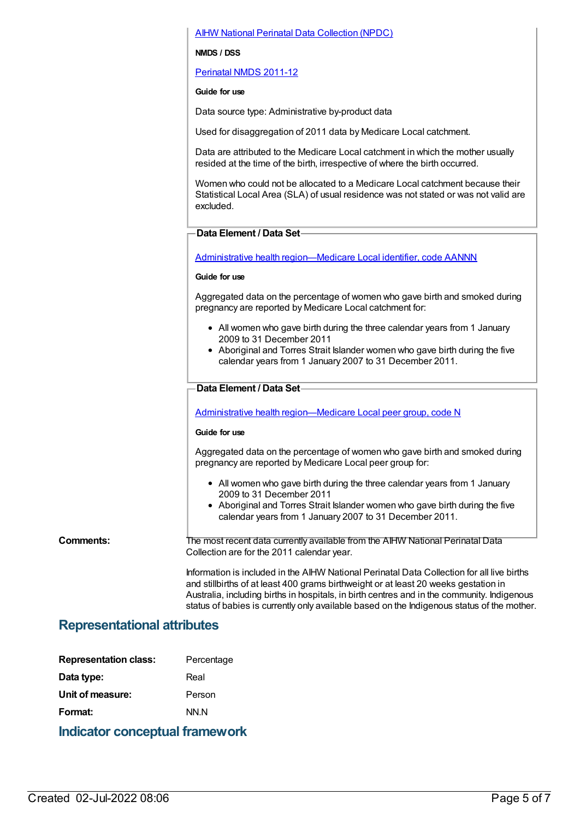### AIHW National Perinatal Data [Collection](https://meteor.aihw.gov.au/content/392479) (NPDC)

#### **NMDS / DSS**

[Perinatal](https://meteor.aihw.gov.au/content/426735) NMDS 2011-12

#### **Guide for use**

Data source type: Administrative by-product data

Used for disaggregation of 2011 data by Medicare Local catchment.

Data are attributed to the Medicare Local catchment in which the mother usually resided at the time of the birth, irrespective of where the birth occurred.

Women who could not be allocated to a Medicare Local catchment because their Statistical Local Area (SLA) of usual residence was not stated or was not valid are excluded.

#### **Data Element / Data Set**

Administrative health [region—Medicare](https://meteor.aihw.gov.au/content/513288) Local identifier, code AANNN

#### **Guide for use**

Aggregated data on the percentage of women who gave birth and smoked during pregnancy are reported by Medicare Local catchment for:

- All women who gave birth during the three calendar years from 1 January 2009 to 31 December 2011
- Aboriginal and Torres Strait Islander women who gave birth during the five calendar years from 1 January 2007 to 31 December 2011.

#### **Data Element / Data Set**

Administrative health [region—Medicare](https://meteor.aihw.gov.au/content/550733) Local peer group, code N

#### **Guide for use**

Aggregated data on the percentage of women who gave birth and smoked during pregnancy are reported by Medicare Local peer group for:

- All women who gave birth during the three calendar years from 1 January 2009 to 31 December 2011
- Aboriginal and Torres Strait Islander women who gave birth during the five calendar years from 1 January 2007 to 31 December 2011.

**Comments:** The most recent data currently available from the AIHW National Perinatal Data Collection are for the 2011 calendar year.

> Information is included in the AIHW National Perinatal Data Collection for all live births and stillbirths of at least 400 grams birthweight or at least 20 weeks gestation in Australia, including births in hospitals, in birth centres and in the community. Indigenous status of babies is currently only available based on the Indigenous status of the mother.

## **Representational attributes**

| <b>Representation class:</b> | Percentage |
|------------------------------|------------|
| Data type:                   | Real       |
| Unit of measure:             | Person     |
| Format:                      | NN.N       |
|                              |            |

## **Indicator conceptual framework**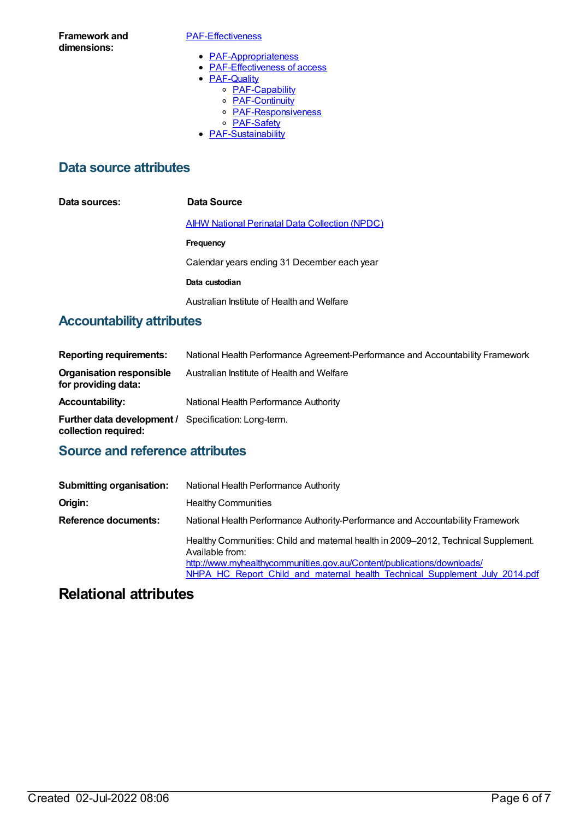**Framework and dimensions:**

#### [PAF-Effectiveness](https://meteor.aihw.gov.au/content/554925)

- [PAF-Appropriateness](https://meteor.aihw.gov.au/content/554929)
- [PAF-Effectiveness](https://meteor.aihw.gov.au/content/554928) of access
- **[PAF-Quality](https://meteor.aihw.gov.au/content/554930)** 
	- o [PAF-Capability](https://meteor.aihw.gov.au/content/554934)
	- o **[PAF-Continuity](https://meteor.aihw.gov.au/content/554935)**
	- o **[PAF-Responsiveness](https://meteor.aihw.gov.au/content/554933)**
	- o **[PAF-Safety](https://meteor.aihw.gov.au/content/554932)**
- [PAF-Sustainability](https://meteor.aihw.gov.au/content/554931)

## **Data source attributes**

| Data sources: | Data Source                                           |
|---------------|-------------------------------------------------------|
|               | <b>AIHW National Perinatal Data Collection (NPDC)</b> |
|               | Frequency                                             |
|               | Calendar years ending 31 December each year           |
|               | Data custodian                                        |
|               | Australian Institute of Health and Welfare            |

# **Accountability attributes**

| <b>Reporting requirements:</b>                                                      | National Health Performance Agreement-Performance and Accountability Framework |
|-------------------------------------------------------------------------------------|--------------------------------------------------------------------------------|
| <b>Organisation responsible</b><br>for providing data:                              | Australian Institute of Health and Welfare                                     |
| <b>Accountability:</b>                                                              | National Health Performance Authority                                          |
| <b>Further data development / Specification: Long-term.</b><br>collection required: |                                                                                |

# **Source and reference attributes**

| <b>Submitting organisation:</b> | National Health Performance Authority                                                                                                                                                                                                                          |  |
|---------------------------------|----------------------------------------------------------------------------------------------------------------------------------------------------------------------------------------------------------------------------------------------------------------|--|
| Origin:                         | <b>Healthy Communities</b>                                                                                                                                                                                                                                     |  |
| <b>Reference documents:</b>     | National Health Performance Authority-Performance and Accountability Framework                                                                                                                                                                                 |  |
|                                 | Healthy Communities: Child and maternal health in 2009–2012, Technical Supplement.<br>Available from:<br>http://www.myhealthycommunities.gov.au/Content/publications/downloads/<br>NHPA HC Report Child and maternal health Technical Supplement July 2014.pdf |  |

# **Relational attributes**